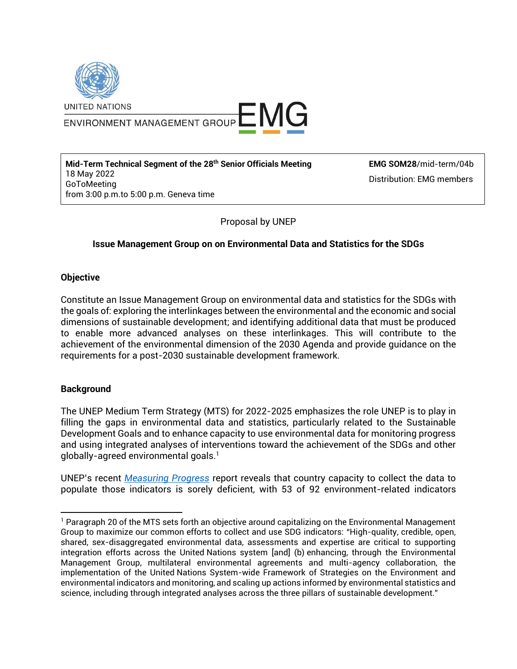

ENVIRONMENT MANAGEMENT GROUP E MG

**Mid-Term Technical Segment of the 28th Senior Officials Meeting** 18 May 2022 GoToMeeting from 3:00 p.m.to 5:00 p.m. Geneva time

**EMG SOM28**/mid-term/04b Distribution: EMG members

Proposal by UNEP

## **Issue Management Group on on Environmental Data and Statistics for the SDGs**

## **Objective**

Constitute an Issue Management Group on environmental data and statistics for the SDGs with the goals of: exploring the interlinkages between the environmental and the economic and social dimensions of sustainable development; and identifying additional data that must be produced to enable more advanced analyses on these interlinkages. This will contribute to the achievement of the environmental dimension of the 2030 Agenda and provide guidance on the requirements for a post-2030 sustainable development framework.

## **Background**

The UNEP Medium Term Strategy (MTS) for 2022-2025 emphasizes the role UNEP is to play in filling the gaps in environmental data and statistics, particularly related to the Sustainable Development Goals and to enhance capacity to use environmental data for monitoring progress and using integrated analyses of interventions toward the achievement of the SDGs and other globally-agreed environmental goals.<sup>1</sup>

UNEP's recent *[Measuring Progress](https://www.unep.org/resources/publication/measuring-progress-environment-and-sdgs)* report reveals that country capacity to collect the data to populate those indicators is sorely deficient, with 53 of 92 environment-related indicators

<sup>&</sup>lt;sup>1</sup> Paragraph 20 of the MTS sets forth an objective around capitalizing on the Environmental Management Group to maximize our common efforts to collect and use SDG indicators: "High-quality, credible, open, shared, sex-disaggregated environmental data, assessments and expertise are critical to supporting integration efforts across the United Nations system [and] (b) enhancing, through the Environmental Management Group, multilateral environmental agreements and multi-agency collaboration, the implementation of the United Nations System-wide Framework of Strategies on the Environment and environmental indicators and monitoring, and scaling up actions informed by environmental statistics and science, including through integrated analyses across the three pillars of sustainable development."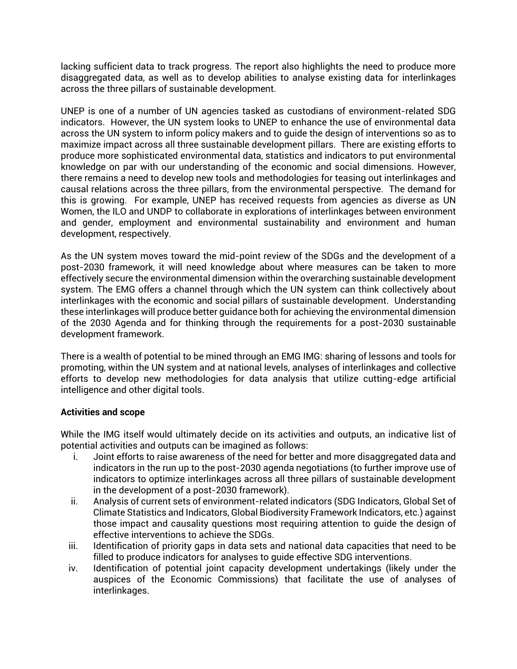lacking sufficient data to track progress. The report also highlights the need to produce more disaggregated data, as well as to develop abilities to analyse existing data for interlinkages across the three pillars of sustainable development.

UNEP is one of a number of UN agencies tasked as custodians of environment-related SDG indicators. However, the UN system looks to UNEP to enhance the use of environmental data across the UN system to inform policy makers and to guide the design of interventions so as to maximize impact across all three sustainable development pillars. There are existing efforts to produce more sophisticated environmental data, statistics and indicators to put environmental knowledge on par with our understanding of the economic and social dimensions. However, there remains a need to develop new tools and methodologies for teasing out interlinkages and causal relations across the three pillars, from the environmental perspective. The demand for this is growing. For example, UNEP has received requests from agencies as diverse as UN Women, the ILO and UNDP to collaborate in explorations of interlinkages between environment and gender, employment and environmental sustainability and environment and human development, respectively.

As the UN system moves toward the mid-point review of the SDGs and the development of a post-2030 framework, it will need knowledge about where measures can be taken to more effectively secure the environmental dimension within the overarching sustainable development system. The EMG offers a channel through which the UN system can think collectively about interlinkages with the economic and social pillars of sustainable development. Understanding these interlinkages will produce better guidance both for achieving the environmental dimension of the 2030 Agenda and for thinking through the requirements for a post-2030 sustainable development framework.

There is a wealth of potential to be mined through an EMG IMG: sharing of lessons and tools for promoting, within the UN system and at national levels, analyses of interlinkages and collective efforts to develop new methodologies for data analysis that utilize cutting-edge artificial intelligence and other digital tools.

## **Activities and scope**

While the IMG itself would ultimately decide on its activities and outputs, an indicative list of potential activities and outputs can be imagined as follows:

- i. Joint efforts to raise awareness of the need for better and more disaggregated data and indicators in the run up to the post-2030 agenda negotiations (to further improve use of indicators to optimize interlinkages across all three pillars of sustainable development in the development of a post-2030 framework).
- ii. Analysis of current sets of environment-related indicators (SDG Indicators, Global Set of Climate Statistics and Indicators, Global Biodiversity Framework Indicators, etc.) against those impact and causality questions most requiring attention to guide the design of effective interventions to achieve the SDGs.
- iii. Identification of priority gaps in data sets and national data capacities that need to be filled to produce indicators for analyses to guide effective SDG interventions.
- iv. Identification of potential joint capacity development undertakings (likely under the auspices of the Economic Commissions) that facilitate the use of analyses of interlinkages.